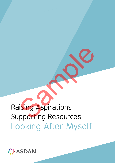

# Raising Aspirations Supporting Resources Looking After Myself Sample Terms<br>Sample Terms<br>Sample Terms<br>Sample Terms<br>Sample Terms<br>Sample Terms<br>Sample Terms<br>Sample Terms<br>Sample Terms<br>Sample Terms<br>Sample Terms<br>Sample Terms<br>Sample Terms<br>Sample Terms<br>Sample Terms<br>Sample Terms<br>Sample Terms<br>S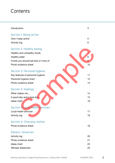# **Contents**

| Introduction                         | 3  |
|--------------------------------------|----|
| Section 1: Being active              |    |
| How I keep active                    | 5  |
| <b>Activity log</b>                  | 6  |
| Section 2: Healthy eating            |    |
| Healthy and unhealthy foods          |    |
| Healthy plate                        | 8  |
| Foods you should eat less or more of | 9  |
| Photo evidence sheet                 | 10 |
| Section 3: Personal hygiene          |    |
| Key features of personal hygiene     | 11 |
| Personal hygiene chart               | 12 |
| Photo evidence sheet                 | 13 |
| Section 4: Feelings                  |    |
| What makes me                        | 14 |
| A good day and a bad day             | 15 |
| Ideas chart                          | 16 |
|                                      |    |
| Section 5: Local health services     |    |
| Local health services                | 17 |
| <b>Activity log</b>                  | 18 |
| Section 6: Choosing clothes          |    |
| Photo evidence sheet                 | 19 |
| <b>Generic resources</b>             |    |
| <b>Activity log</b>                  | 20 |
| Photo evidence sheet                 | 21 |
| Ideas chart                          | 22 |
| <b>Witness Statement</b>             | 23 |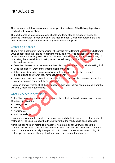# Introduction

This resource pack has been created to support the delivery of the Raising Aspirations module Looking After Myself.

The pack contains a selection of worksheets and templates to provide evidence for activities undertaken in each section of the module book. Generic resources have also been included to support activities in any section as appropriate.

#### Gathering evidence

There is not a set format for evidencing. All learners have different strengths and different ways of accessing the Raising Aspirations modules, so there is no prescriptive format or method for evidencing work. This flexibility can be bewildering at first and one way of combating the uncertainty is to ask yourself the following questions when you add work to the evidence folder: ring evidence<br>
is not a set format for evidencing. All learners have different strengths and d<br>
in a coessing the Raising Aspirations modules, so there is no prescriptive for<br>
faccessing the Raising Aspirations modules, so

- Does this piece of work demonstrate the skills that the section or activity is asking for?
- Does this piece of work show what the learner can do?
- If the learner is sharing this piece of work with someone else, is there enough explanation to show what they have actually done?
- Has enough care been taken to ensure that the way the work is presented shows the learner's achievements as fully as possible?

If you can answer 'yes' to all of these questions then your learner has produced work that will amply meet the requirements.

### What evidence is acceptable?

All the Raising Aspirations modules explain at the outset that evidence can take a variety of forms. For example:

- photographs
- videos
- worksheets
- audio recordings

It is not a requirement to use all of the above methods but it is expected that a variety of methods will be used to show the diverse ways that the module has been accessed.

Nor is the above list of methods exhaustive. As a practitioner, you will choose the methods that best suit your learners and show their strengths. For example, if a learner cannot communicate verbally then you will not choose to make an audio recording of their response, however their gestural response could be captured on video.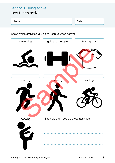# Section 1: Being active

How I keep active

#### Name: Name: Name: Name: Name: Name: Name: Name: Name: Name: Name: Name: Name: Name: Name: Name: Name: Name: Na

Show which activities you do to keep yourself active:

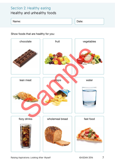# Section 2: Healthy eating

## Healthy and unhealthy foods

#### Name: Date:

Show foods that are healthy for you:

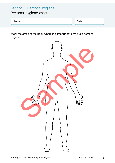## Section 3: Personal hygiene

## Personal hygiene chart

Name: Date:

Mark the areas of the body where it is important to maintain personal hygiene:

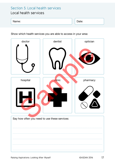## Section 5: Local health services Local health services

#### Name: Name: Name: Name: Name: Name: Name: Name: Name: Name: Name: Name: Name: Name: Name: Name: Name: Name: Name: Name: Name: Name: Name: Name: Name: Name: Name: Name: Name: Name: Name: Name: Name: Name: Name: Name: Name:

Show which health services you are able to access in your area:

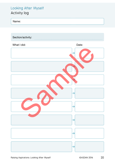## Looking After Myself Activity log